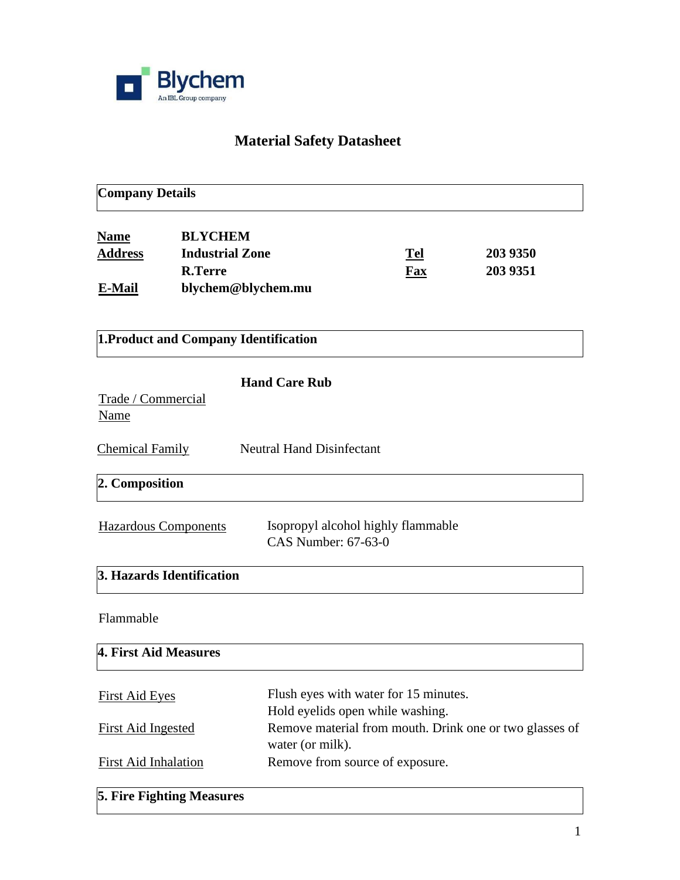

# **Material Safety Datasheet**

| <b>BLYCHEM</b><br><b>Industrial Zone</b><br><b>R.Terre</b> |                                                                                                                                                                            |                                                                                   |                                                                                                                                                                                                                                                                          |
|------------------------------------------------------------|----------------------------------------------------------------------------------------------------------------------------------------------------------------------------|-----------------------------------------------------------------------------------|--------------------------------------------------------------------------------------------------------------------------------------------------------------------------------------------------------------------------------------------------------------------------|
| blychem@blychem.mu                                         |                                                                                                                                                                            | Tel<br>Fax                                                                        | 203 9350<br>203 9351                                                                                                                                                                                                                                                     |
|                                                            |                                                                                                                                                                            |                                                                                   |                                                                                                                                                                                                                                                                          |
|                                                            |                                                                                                                                                                            |                                                                                   |                                                                                                                                                                                                                                                                          |
|                                                            |                                                                                                                                                                            |                                                                                   |                                                                                                                                                                                                                                                                          |
|                                                            |                                                                                                                                                                            |                                                                                   |                                                                                                                                                                                                                                                                          |
|                                                            |                                                                                                                                                                            |                                                                                   |                                                                                                                                                                                                                                                                          |
|                                                            |                                                                                                                                                                            |                                                                                   |                                                                                                                                                                                                                                                                          |
|                                                            |                                                                                                                                                                            |                                                                                   |                                                                                                                                                                                                                                                                          |
|                                                            |                                                                                                                                                                            |                                                                                   |                                                                                                                                                                                                                                                                          |
|                                                            |                                                                                                                                                                            |                                                                                   |                                                                                                                                                                                                                                                                          |
|                                                            |                                                                                                                                                                            |                                                                                   |                                                                                                                                                                                                                                                                          |
|                                                            |                                                                                                                                                                            |                                                                                   |                                                                                                                                                                                                                                                                          |
|                                                            | Trade / Commercial<br><b>Hazardous Components</b><br>3. Hazards Identification<br>4. First Aid Measures<br><b>First Aid Inhalation</b><br><b>5. Fire Fighting Measures</b> | 1. Product and Company Identification<br><b>Hand Care Rub</b><br>water (or milk). | <b>Neutral Hand Disinfectant</b><br>Isopropyl alcohol highly flammable<br>CAS Number: 67-63-0<br>Flush eyes with water for 15 minutes.<br>Hold eyelids open while washing.<br>Remove material from mouth. Drink one or two glasses of<br>Remove from source of exposure. |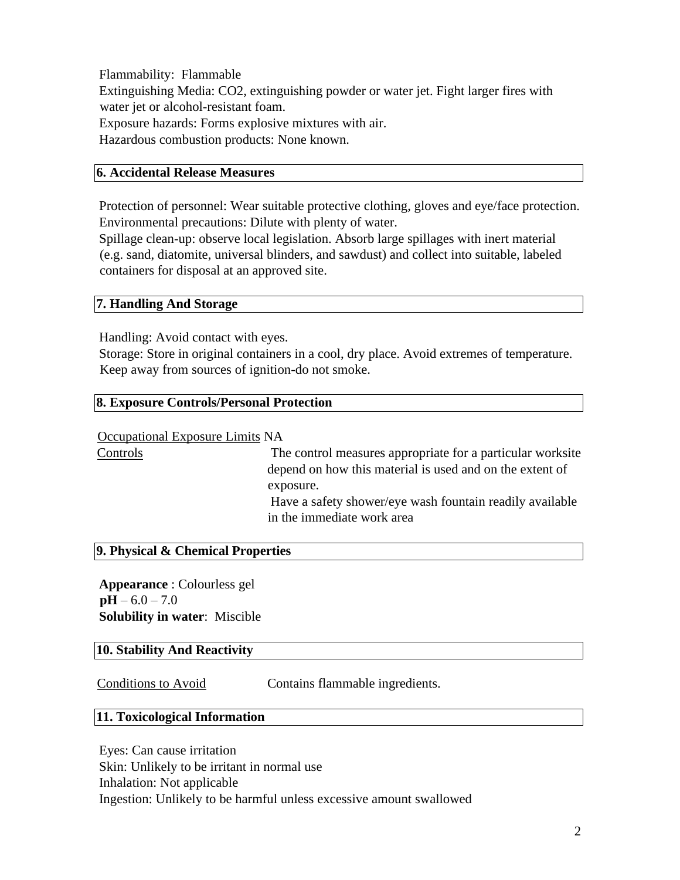Flammability: Flammable Extinguishing Media: CO2, extinguishing powder or water jet. Fight larger fires with water jet or alcohol-resistant foam. Exposure hazards: Forms explosive mixtures with air. Hazardous combustion products: None known.

## **6. Accidental Release Measures**

Protection of personnel: Wear suitable protective clothing, gloves and eye/face protection. Environmental precautions: Dilute with plenty of water.

Spillage clean-up: observe local legislation. Absorb large spillages with inert material (e.g. sand, diatomite, universal blinders, and sawdust) and collect into suitable, labeled containers for disposal at an approved site.

## **7. Handling And Storage**

Handling: Avoid contact with eyes.

Storage: Store in original containers in a cool, dry place. Avoid extremes of temperature. Keep away from sources of ignition-do not smoke.

## **8. Exposure Controls/Personal Protection**

#### Occupational Exposure Limits NA

Controls The control measures appropriate for a particular worksite depend on how this material is used and on the extent of exposure. Have a safety shower/eye wash fountain readily available in the immediate work area

### **9. Physical & Chemical Properties**

**Appearance** : Colourless gel  $pH - 6.0 - 7.0$ **Solubility in water**: Miscible

## **10. Stability And Reactivity**

Conditions to Avoid Contains flammable ingredients.

#### **11. Toxicological Information**

Eyes: Can cause irritation Skin: Unlikely to be irritant in normal use Inhalation: Not applicable Ingestion: Unlikely to be harmful unless excessive amount swallowed